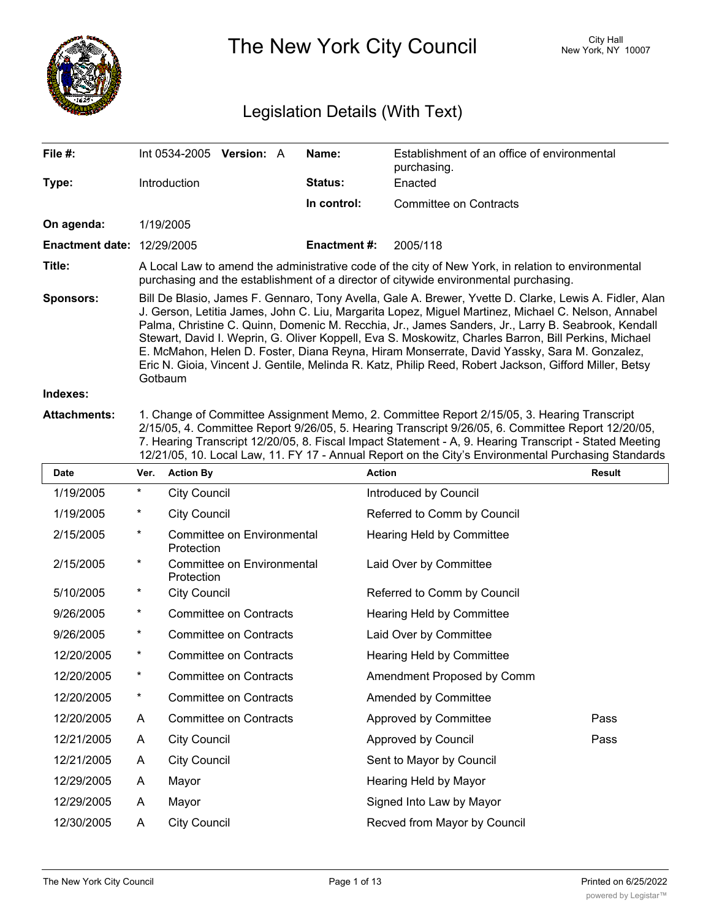

The New York City Council New York, NY 10007

# Legislation Details (With Text)

| File #:                           | Int 0534-2005 <b>Version:</b> A                                                                                                                                                                                                                                                                                                                                                                                                                                                                                                                                                                                                                 |  |  | Name:               | Establishment of an office of environmental<br>purchasing. |  |  |
|-----------------------------------|-------------------------------------------------------------------------------------------------------------------------------------------------------------------------------------------------------------------------------------------------------------------------------------------------------------------------------------------------------------------------------------------------------------------------------------------------------------------------------------------------------------------------------------------------------------------------------------------------------------------------------------------------|--|--|---------------------|------------------------------------------------------------|--|--|
| Type:                             | Introduction                                                                                                                                                                                                                                                                                                                                                                                                                                                                                                                                                                                                                                    |  |  | Status:             | Enacted                                                    |  |  |
|                                   |                                                                                                                                                                                                                                                                                                                                                                                                                                                                                                                                                                                                                                                 |  |  | In control:         | Committee on Contracts                                     |  |  |
| On agenda:                        | 1/19/2005                                                                                                                                                                                                                                                                                                                                                                                                                                                                                                                                                                                                                                       |  |  |                     |                                                            |  |  |
| <b>Enactment date: 12/29/2005</b> |                                                                                                                                                                                                                                                                                                                                                                                                                                                                                                                                                                                                                                                 |  |  | <b>Enactment #:</b> | 2005/118                                                   |  |  |
| Title:                            | A Local Law to amend the administrative code of the city of New York, in relation to environmental<br>purchasing and the establishment of a director of citywide environmental purchasing.                                                                                                                                                                                                                                                                                                                                                                                                                                                      |  |  |                     |                                                            |  |  |
| <b>Sponsors:</b>                  | Bill De Blasio, James F. Gennaro, Tony Avella, Gale A. Brewer, Yvette D. Clarke, Lewis A. Fidler, Alan<br>J. Gerson, Letitia James, John C. Liu, Margarita Lopez, Miguel Martinez, Michael C. Nelson, Annabel<br>Palma, Christine C. Quinn, Domenic M. Recchia, Jr., James Sanders, Jr., Larry B. Seabrook, Kendall<br>Stewart, David I. Weprin, G. Oliver Koppell, Eva S. Moskowitz, Charles Barron, Bill Perkins, Michael<br>E. McMahon, Helen D. Foster, Diana Reyna, Hiram Monserrate, David Yassky, Sara M. Gonzalez,<br>Eric N. Gioia, Vincent J. Gentile, Melinda R. Katz, Philip Reed, Robert Jackson, Gifford Miller, Betsy<br>Gotbaum |  |  |                     |                                                            |  |  |
| Indovoc:                          |                                                                                                                                                                                                                                                                                                                                                                                                                                                                                                                                                                                                                                                 |  |  |                     |                                                            |  |  |

#### **Indexes:**

**Attachments:** 1. Change of Committee Assignment Memo, 2. Committee Report 2/15/05, 3. Hearing Transcript 2/15/05, 4. Committee Report 9/26/05, 5. Hearing Transcript 9/26/05, 6. Committee Report 12/20/05, 7. Hearing Transcript 12/20/05, 8. Fiscal Impact Statement - A, 9. Hearing Transcript - Stated Meeting 12/21/05, 10. Local Law, 11. FY 17 - Annual Report on the City's Environmental Purchasing Standards

| <b>Date</b> | Ver.    | <b>Action By</b>                                | <b>Action</b>                | <b>Result</b> |
|-------------|---------|-------------------------------------------------|------------------------------|---------------|
| 1/19/2005   | $\ast$  | <b>City Council</b>                             | Introduced by Council        |               |
| 1/19/2005   | $\ast$  | <b>City Council</b>                             | Referred to Comm by Council  |               |
| 2/15/2005   | $\star$ | <b>Committee on Environmental</b><br>Protection | Hearing Held by Committee    |               |
| 2/15/2005   | $^\ast$ | Committee on Environmental<br>Protection        | Laid Over by Committee       |               |
| 5/10/2005   | $^\ast$ | <b>City Council</b>                             | Referred to Comm by Council  |               |
| 9/26/2005   | $\star$ | <b>Committee on Contracts</b>                   | Hearing Held by Committee    |               |
| 9/26/2005   | $\ast$  | <b>Committee on Contracts</b>                   | Laid Over by Committee       |               |
| 12/20/2005  | $\ast$  | <b>Committee on Contracts</b>                   | Hearing Held by Committee    |               |
| 12/20/2005  | $^\ast$ | <b>Committee on Contracts</b>                   | Amendment Proposed by Comm   |               |
| 12/20/2005  | $\star$ | <b>Committee on Contracts</b>                   | Amended by Committee         |               |
| 12/20/2005  | A       | <b>Committee on Contracts</b>                   | Approved by Committee        | Pass          |
| 12/21/2005  | A       | <b>City Council</b>                             | Approved by Council          | Pass          |
| 12/21/2005  | A       | <b>City Council</b>                             | Sent to Mayor by Council     |               |
| 12/29/2005  | A       | Mayor                                           | Hearing Held by Mayor        |               |
| 12/29/2005  | A       | Mayor                                           | Signed Into Law by Mayor     |               |
| 12/30/2005  | A       | <b>City Council</b>                             | Recved from Mayor by Council |               |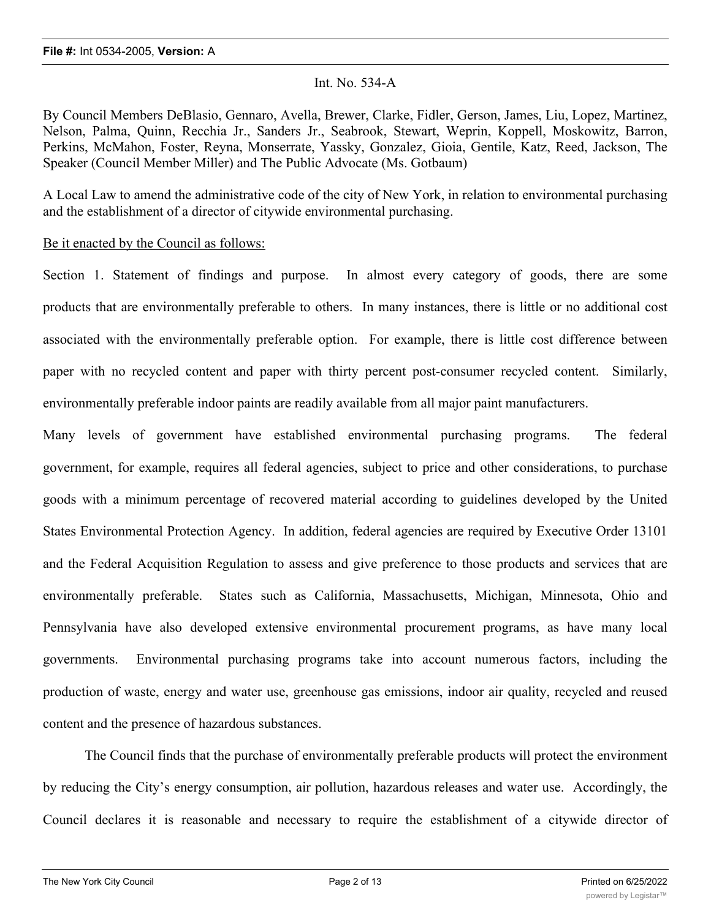### Int. No. 534-A

By Council Members DeBlasio, Gennaro, Avella, Brewer, Clarke, Fidler, Gerson, James, Liu, Lopez, Martinez, Nelson, Palma, Quinn, Recchia Jr., Sanders Jr., Seabrook, Stewart, Weprin, Koppell, Moskowitz, Barron, Perkins, McMahon, Foster, Reyna, Monserrate, Yassky, Gonzalez, Gioia, Gentile, Katz, Reed, Jackson, The Speaker (Council Member Miller) and The Public Advocate (Ms. Gotbaum)

A Local Law to amend the administrative code of the city of New York, in relation to environmental purchasing and the establishment of a director of citywide environmental purchasing.

## Be it enacted by the Council as follows:

Section 1. Statement of findings and purpose. In almost every category of goods, there are some products that are environmentally preferable to others. In many instances, there is little or no additional cost associated with the environmentally preferable option. For example, there is little cost difference between paper with no recycled content and paper with thirty percent post-consumer recycled content. Similarly, environmentally preferable indoor paints are readily available from all major paint manufacturers.

Many levels of government have established environmental purchasing programs. The federal government, for example, requires all federal agencies, subject to price and other considerations, to purchase goods with a minimum percentage of recovered material according to guidelines developed by the United States Environmental Protection Agency. In addition, federal agencies are required by Executive Order 13101 and the Federal Acquisition Regulation to assess and give preference to those products and services that are environmentally preferable. States such as California, Massachusetts, Michigan, Minnesota, Ohio and Pennsylvania have also developed extensive environmental procurement programs, as have many local governments. Environmental purchasing programs take into account numerous factors, including the production of waste, energy and water use, greenhouse gas emissions, indoor air quality, recycled and reused content and the presence of hazardous substances.

The Council finds that the purchase of environmentally preferable products will protect the environment by reducing the City's energy consumption, air pollution, hazardous releases and water use. Accordingly, the Council declares it is reasonable and necessary to require the establishment of a citywide director of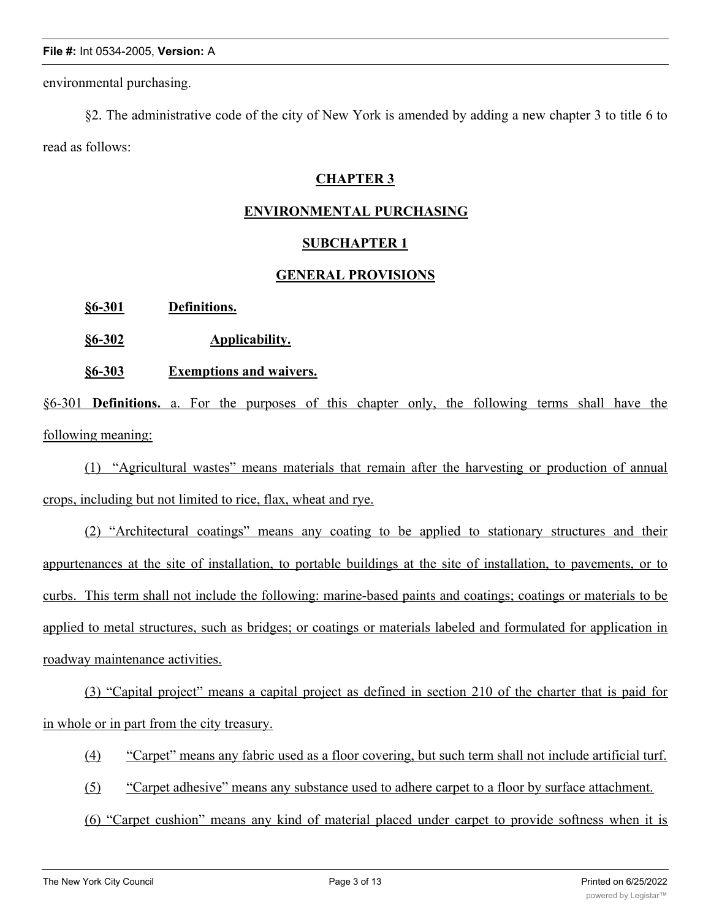environmental purchasing.

§2. The administrative code of the city of New York is amended by adding a new chapter 3 to title 6 to read as follows:

### **CHAPTER 3**

### **ENVIRONMENTAL PURCHASING**

### **SUBCHAPTER 1**

### **GENERAL PROVISIONS**

**§6-301 Definitions.**

- **§6-302 Applicability.**
- **§6-303 Exemptions and waivers.**

§6-301 **Definitions.** a. For the purposes of this chapter only, the following terms shall have the following meaning:

(1) "Agricultural wastes" means materials that remain after the harvesting or production of annual crops, including but not limited to rice, flax, wheat and rye.

(2) "Architectural coatings" means any coating to be applied to stationary structures and their appurtenances at the site of installation, to portable buildings at the site of installation, to pavements, or to curbs. This term shall not include the following: marine-based paints and coatings; coatings or materials to be applied to metal structures, such as bridges; or coatings or materials labeled and formulated for application in roadway maintenance activities.

(3) "Capital project" means a capital project as defined in section 210 of the charter that is paid for in whole or in part from the city treasury.

- (4) "Carpet" means any fabric used as a floor covering, but such term shall not include artificial turf.
- (5) "Carpet adhesive" means any substance used to adhere carpet to a floor by surface attachment.
- (6) "Carpet cushion" means any kind of material placed under carpet to provide softness when it is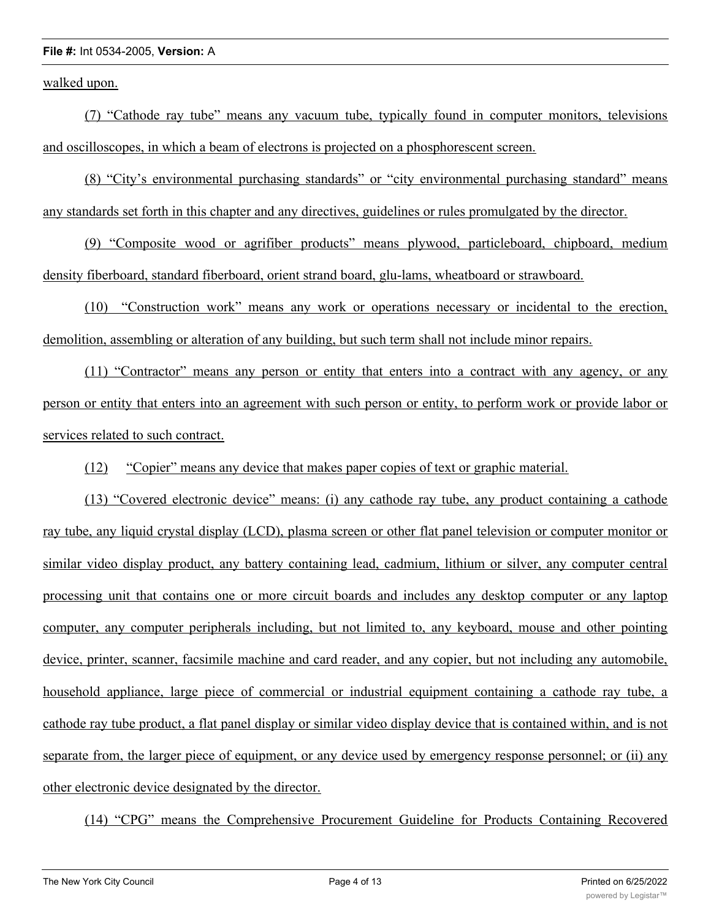walked upon.

(7) "Cathode ray tube" means any vacuum tube, typically found in computer monitors, televisions and oscilloscopes, in which a beam of electrons is projected on a phosphorescent screen.

(8) "City's environmental purchasing standards" or "city environmental purchasing standard" means any standards set forth in this chapter and any directives, guidelines or rules promulgated by the director.

(9) "Composite wood or agrifiber products" means plywood, particleboard, chipboard, medium density fiberboard, standard fiberboard, orient strand board, glu-lams, wheatboard or strawboard.

(10) "Construction work" means any work or operations necessary or incidental to the erection, demolition, assembling or alteration of any building, but such term shall not include minor repairs.

(11) "Contractor" means any person or entity that enters into a contract with any agency, or any person or entity that enters into an agreement with such person or entity, to perform work or provide labor or services related to such contract.

(12) "Copier" means any device that makes paper copies of text or graphic material.

(13) "Covered electronic device" means: (i) any cathode ray tube, any product containing a cathode ray tube, any liquid crystal display (LCD), plasma screen or other flat panel television or computer monitor or similar video display product, any battery containing lead, cadmium, lithium or silver, any computer central processing unit that contains one or more circuit boards and includes any desktop computer or any laptop computer, any computer peripherals including, but not limited to, any keyboard, mouse and other pointing device, printer, scanner, facsimile machine and card reader, and any copier, but not including any automobile, household appliance, large piece of commercial or industrial equipment containing a cathode ray tube, a cathode ray tube product, a flat panel display or similar video display device that is contained within, and is not separate from, the larger piece of equipment, or any device used by emergency response personnel; or (ii) any other electronic device designated by the director.

(14) "CPG" means the Comprehensive Procurement Guideline for Products Containing Recovered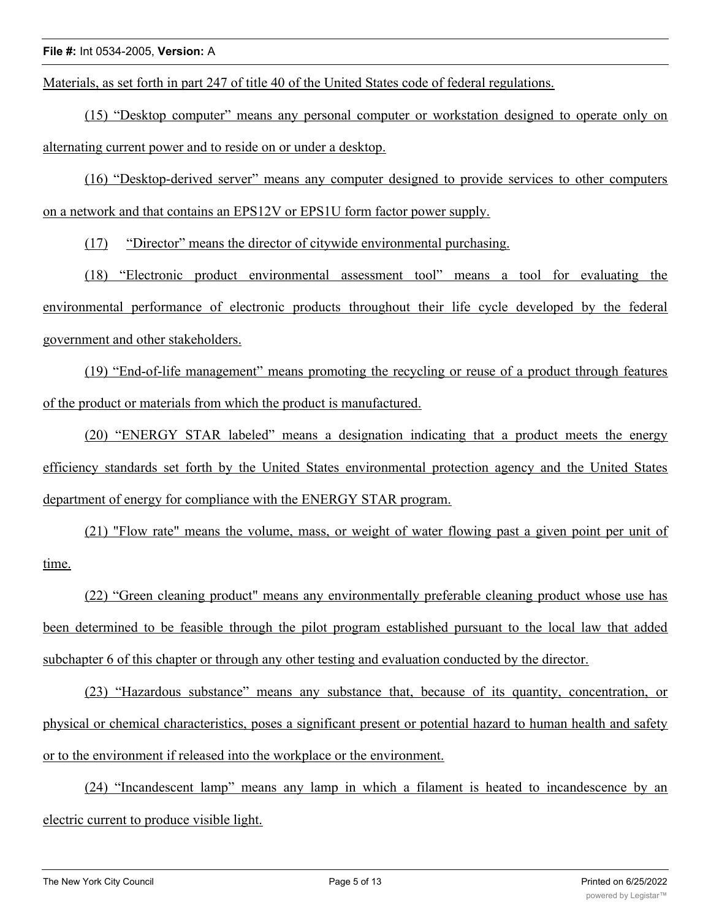Materials, as set forth in part 247 of title 40 of the United States code of federal regulations.

(15) "Desktop computer" means any personal computer or workstation designed to operate only on alternating current power and to reside on or under a desktop.

(16) "Desktop-derived server" means any computer designed to provide services to other computers on a network and that contains an EPS12V or EPS1U form factor power supply.

(17) "Director" means the director of citywide environmental purchasing.

(18) "Electronic product environmental assessment tool" means a tool for evaluating the environmental performance of electronic products throughout their life cycle developed by the federal government and other stakeholders.

(19) "End-of-life management" means promoting the recycling or reuse of a product through features of the product or materials from which the product is manufactured.

(20) "ENERGY STAR labeled" means a designation indicating that a product meets the energy efficiency standards set forth by the United States environmental protection agency and the United States department of energy for compliance with the ENERGY STAR program.

(21) "Flow rate" means the volume, mass, or weight of water flowing past a given point per unit of time.

(22) "Green cleaning product" means any environmentally preferable cleaning product whose use has been determined to be feasible through the pilot program established pursuant to the local law that added subchapter 6 of this chapter or through any other testing and evaluation conducted by the director.

(23) "Hazardous substance" means any substance that, because of its quantity, concentration, or physical or chemical characteristics, poses a significant present or potential hazard to human health and safety or to the environment if released into the workplace or the environment.

(24) "Incandescent lamp" means any lamp in which a filament is heated to incandescence by an electric current to produce visible light.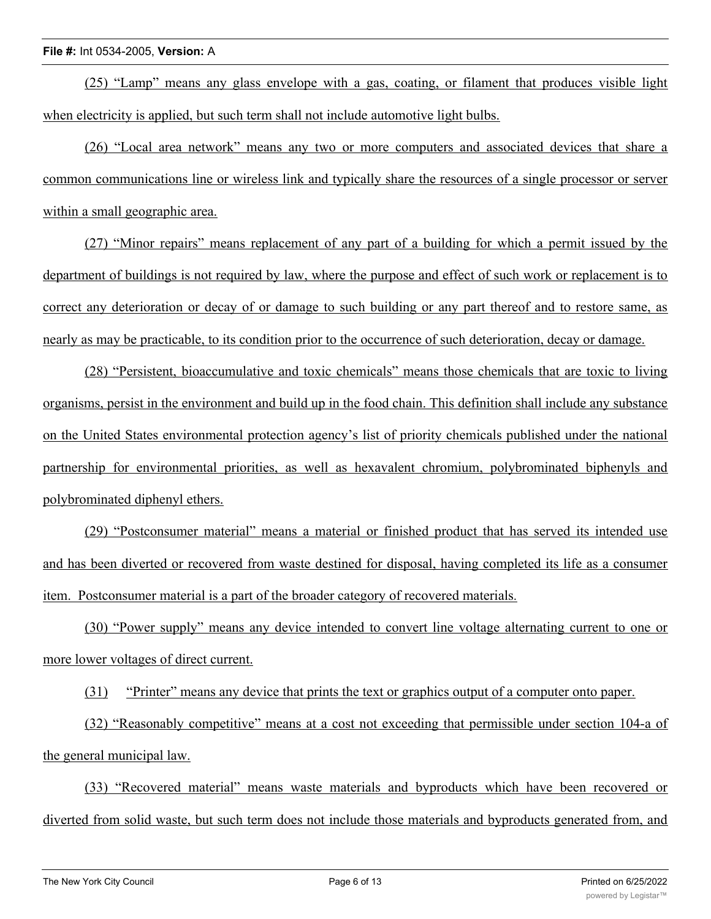(25) "Lamp" means any glass envelope with a gas, coating, or filament that produces visible light when electricity is applied, but such term shall not include automotive light bulbs.

(26) "Local area network" means any two or more computers and associated devices that share a common communications line or wireless link and typically share the resources of a single processor or server within a small geographic area.

(27) "Minor repairs" means replacement of any part of a building for which a permit issued by the department of buildings is not required by law, where the purpose and effect of such work or replacement is to correct any deterioration or decay of or damage to such building or any part thereof and to restore same, as nearly as may be practicable, to its condition prior to the occurrence of such deterioration, decay or damage.

(28) "Persistent, bioaccumulative and toxic chemicals" means those chemicals that are toxic to living organisms, persist in the environment and build up in the food chain. This definition shall include any substance on the United States environmental protection agency's list of priority chemicals published under the national partnership for environmental priorities, as well as hexavalent chromium, polybrominated biphenyls and polybrominated diphenyl ethers.

(29) "Postconsumer material" means a material or finished product that has served its intended use and has been diverted or recovered from waste destined for disposal, having completed its life as a consumer item. Postconsumer material is a part of the broader category of recovered materials*.*

(30) "Power supply" means any device intended to convert line voltage alternating current to one or more lower voltages of direct current.

(31) "Printer" means any device that prints the text or graphics output of a computer onto paper.

(32) "Reasonably competitive" means at a cost not exceeding that permissible under section 104-a of the general municipal law.

(33) "Recovered material" means waste materials and byproducts which have been recovered or diverted from solid waste, but such term does not include those materials and byproducts generated from, and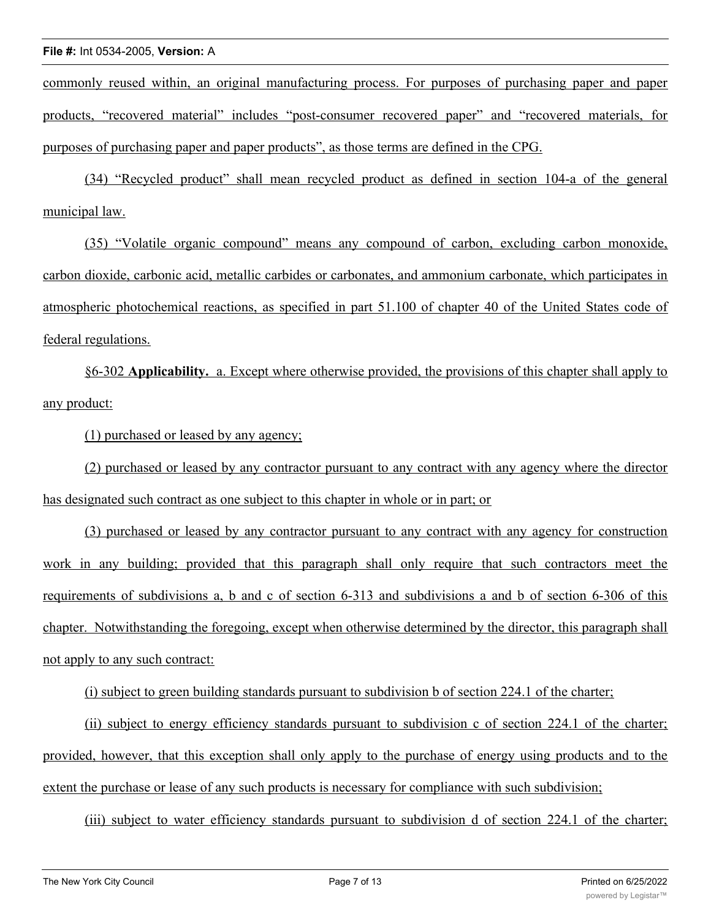commonly reused within, an original manufacturing process. For purposes of purchasing paper and paper products, "recovered material" includes "post-consumer recovered paper" and "recovered materials, for purposes of purchasing paper and paper products", as those terms are defined in the CPG.

(34) "Recycled product" shall mean recycled product as defined in section 104-a of the general municipal law.

(35) "Volatile organic compound" means any compound of carbon, excluding carbon monoxide, carbon dioxide, carbonic acid, metallic carbides or carbonates, and ammonium carbonate, which participates in atmospheric photochemical reactions, as specified in part 51.100 of chapter 40 of the United States code of federal regulations.

§6-302 **Applicability.** a. Except where otherwise provided, the provisions of this chapter shall apply to any product:

(1) purchased or leased by any agency;

(2) purchased or leased by any contractor pursuant to any contract with any agency where the director has designated such contract as one subject to this chapter in whole or in part; or

(3) purchased or leased by any contractor pursuant to any contract with any agency for construction work in any building; provided that this paragraph shall only require that such contractors meet the requirements of subdivisions a, b and c of section 6-313 and subdivisions a and b of section 6-306 of this chapter. Notwithstanding the foregoing, except when otherwise determined by the director, this paragraph shall not apply to any such contract:

(i) subject to green building standards pursuant to subdivision b of section 224.1 of the charter;

(ii) subject to energy efficiency standards pursuant to subdivision c of section 224.1 of the charter; provided, however, that this exception shall only apply to the purchase of energy using products and to the extent the purchase or lease of any such products is necessary for compliance with such subdivision;

(iii) subject to water efficiency standards pursuant to subdivision d of section 224.1 of the charter;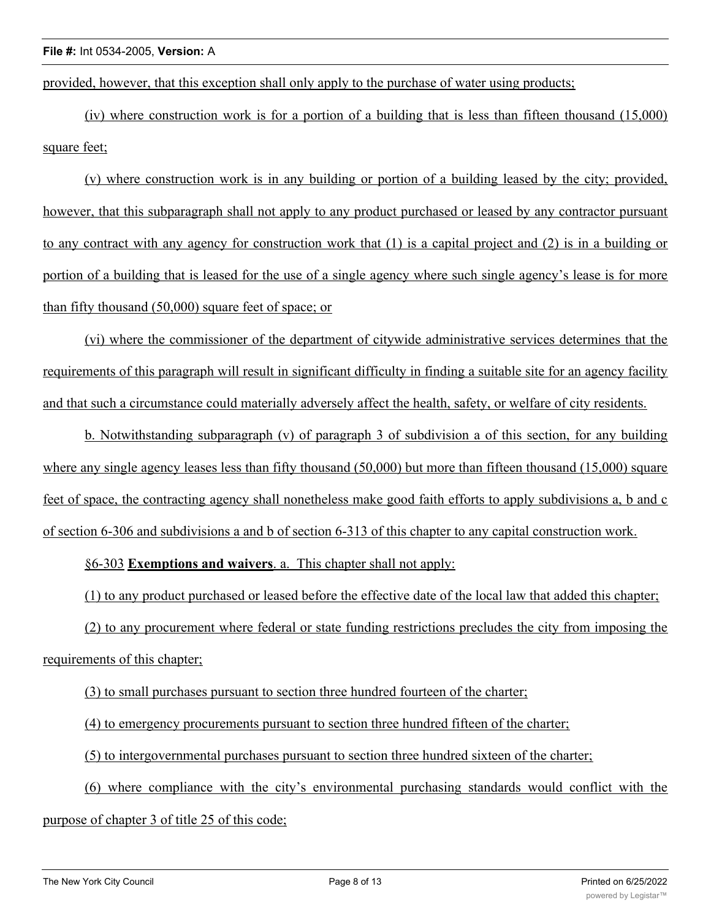provided, however, that this exception shall only apply to the purchase of water using products;

(iv) where construction work is for a portion of a building that is less than fifteen thousand (15,000) square feet;

(v) where construction work is in any building or portion of a building leased by the city; provided, however, that this subparagraph shall not apply to any product purchased or leased by any contractor pursuant to any contract with any agency for construction work that (1) is a capital project and (2) is in a building or portion of a building that is leased for the use of a single agency where such single agency's lease is for more than fifty thousand (50,000) square feet of space; or

(vi) where the commissioner of the department of citywide administrative services determines that the requirements of this paragraph will result in significant difficulty in finding a suitable site for an agency facility and that such a circumstance could materially adversely affect the health, safety, or welfare of city residents.

b. Notwithstanding subparagraph (v) of paragraph 3 of subdivision a of this section, for any building where any single agency leases less than fifty thousand (50,000) but more than fifteen thousand (15,000) square feet of space, the contracting agency shall nonetheless make good faith efforts to apply subdivisions a, b and c of section 6-306 and subdivisions a and b of section 6-313 of this chapter to any capital construction work.

§6-303 **Exemptions and waivers**. a. This chapter shall not apply:

(1) to any product purchased or leased before the effective date of the local law that added this chapter;

(2) to any procurement where federal or state funding restrictions precludes the city from imposing the requirements of this chapter;

(3) to small purchases pursuant to section three hundred fourteen of the charter;

(4) to emergency procurements pursuant to section three hundred fifteen of the charter;

(5) to intergovernmental purchases pursuant to section three hundred sixteen of the charter;

(6) where compliance with the city's environmental purchasing standards would conflict with the

purpose of chapter 3 of title 25 of this code;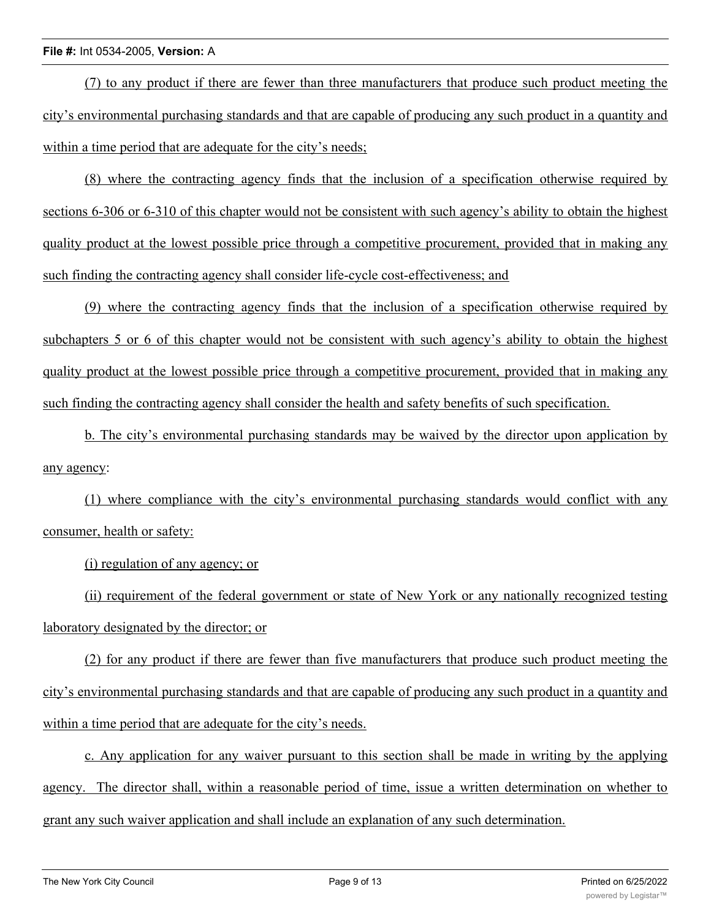(7) to any product if there are fewer than three manufacturers that produce such product meeting the city's environmental purchasing standards and that are capable of producing any such product in a quantity and within a time period that are adequate for the city's needs;

(8) where the contracting agency finds that the inclusion of a specification otherwise required by sections 6-306 or 6-310 of this chapter would not be consistent with such agency's ability to obtain the highest quality product at the lowest possible price through a competitive procurement, provided that in making any such finding the contracting agency shall consider life-cycle cost-effectiveness; and

(9) where the contracting agency finds that the inclusion of a specification otherwise required by subchapters 5 or 6 of this chapter would not be consistent with such agency's ability to obtain the highest quality product at the lowest possible price through a competitive procurement, provided that in making any such finding the contracting agency shall consider the health and safety benefits of such specification.

b. The city's environmental purchasing standards may be waived by the director upon application by any agency:

(1) where compliance with the city's environmental purchasing standards would conflict with any consumer, health or safety:

(i) regulation of any agency; or

(ii) requirement of the federal government or state of New York or any nationally recognized testing laboratory designated by the director; or

(2) for any product if there are fewer than five manufacturers that produce such product meeting the city's environmental purchasing standards and that are capable of producing any such product in a quantity and within a time period that are adequate for the city's needs.

c. Any application for any waiver pursuant to this section shall be made in writing by the applying agency. The director shall, within a reasonable period of time, issue a written determination on whether to grant any such waiver application and shall include an explanation of any such determination.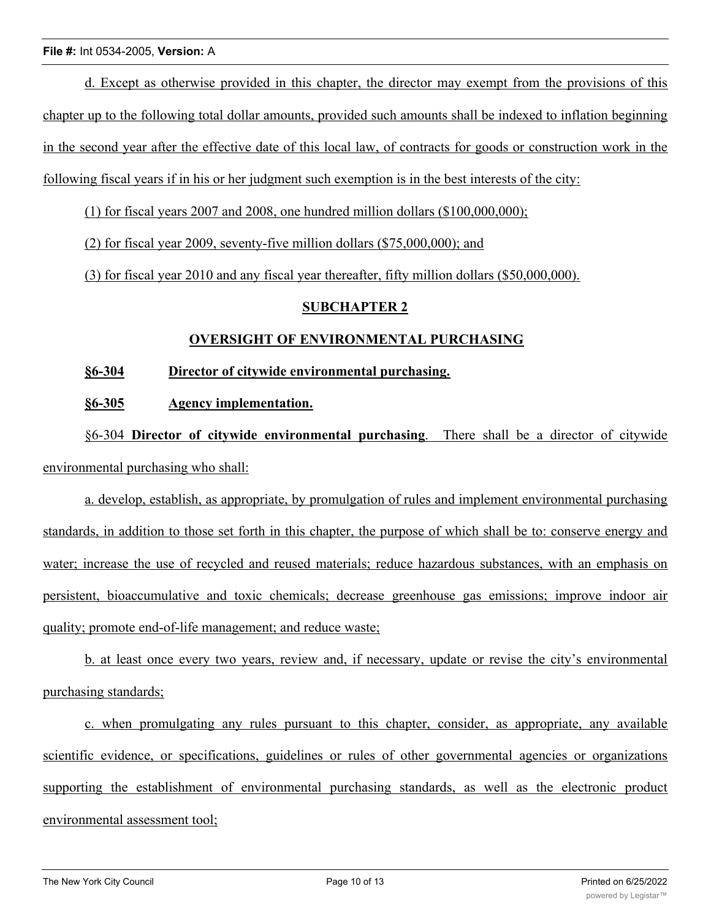d. Except as otherwise provided in this chapter, the director may exempt from the provisions of this chapter up to the following total dollar amounts, provided such amounts shall be indexed to inflation beginning in the second year after the effective date of this local law, of contracts for goods or construction work in the following fiscal years if in his or her judgment such exemption is in the best interests of the city:

(1) for fiscal years 2007 and 2008, one hundred million dollars (\$100,000,000);

(2) for fiscal year 2009, seventy-five million dollars (\$75,000,000); and

(3) for fiscal year 2010 and any fiscal year thereafter, fifty million dollars (\$50,000,000).

### **SUBCHAPTER 2**

## **OVERSIGHT OF ENVIRONMENTAL PURCHASING**

### **§6-304 Director of citywide environmental purchasing.**

### **§6-305 Agency implementation.**

§6-304 **Director of citywide environmental purchasing**. There shall be a director of citywide environmental purchasing who shall:

a. develop, establish, as appropriate, by promulgation of rules and implement environmental purchasing standards, in addition to those set forth in this chapter, the purpose of which shall be to: conserve energy and water; increase the use of recycled and reused materials; reduce hazardous substances, with an emphasis on persistent, bioaccumulative and toxic chemicals; decrease greenhouse gas emissions; improve indoor air quality; promote end-of-life management; and reduce waste;

b. at least once every two years, review and, if necessary, update or revise the city's environmental purchasing standards;

c. when promulgating any rules pursuant to this chapter, consider, as appropriate, any available scientific evidence, or specifications, guidelines or rules of other governmental agencies or organizations supporting the establishment of environmental purchasing standards, as well as the electronic product environmental assessment tool;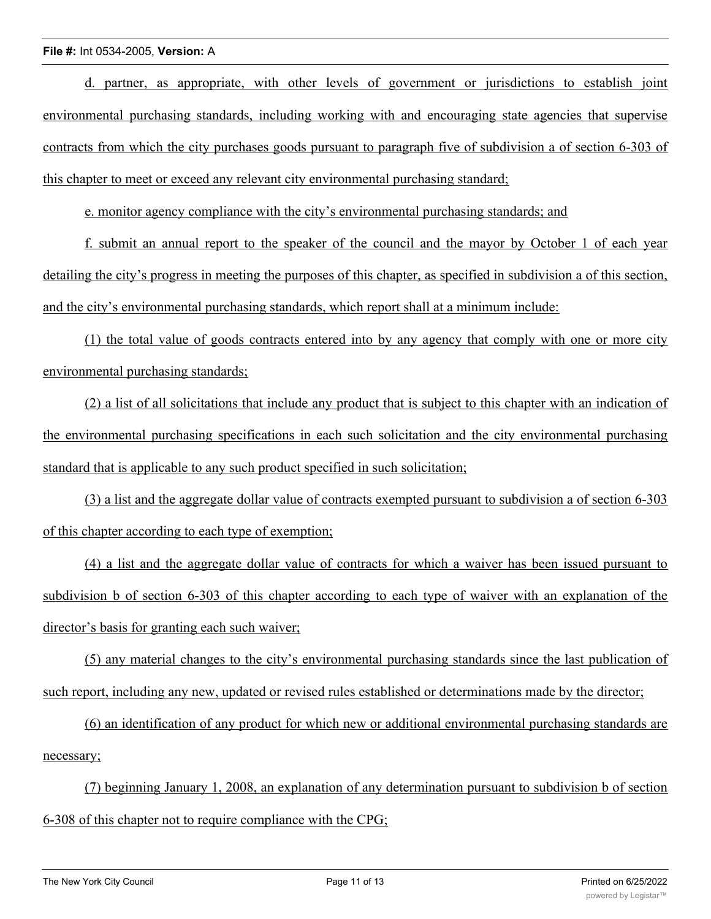d. partner, as appropriate, with other levels of government or jurisdictions to establish joint environmental purchasing standards, including working with and encouraging state agencies that supervise contracts from which the city purchases goods pursuant to paragraph five of subdivision a of section 6-303 of this chapter to meet or exceed any relevant city environmental purchasing standard;

e. monitor agency compliance with the city's environmental purchasing standards; and

f. submit an annual report to the speaker of the council and the mayor by October 1 of each year detailing the city's progress in meeting the purposes of this chapter, as specified in subdivision a of this section, and the city's environmental purchasing standards, which report shall at a minimum include:

(1) the total value of goods contracts entered into by any agency that comply with one or more city environmental purchasing standards;

(2) a list of all solicitations that include any product that is subject to this chapter with an indication of the environmental purchasing specifications in each such solicitation and the city environmental purchasing standard that is applicable to any such product specified in such solicitation;

(3) a list and the aggregate dollar value of contracts exempted pursuant to subdivision a of section 6-303 of this chapter according to each type of exemption;

(4) a list and the aggregate dollar value of contracts for which a waiver has been issued pursuant to subdivision b of section 6-303 of this chapter according to each type of waiver with an explanation of the director's basis for granting each such waiver;

(5) any material changes to the city's environmental purchasing standards since the last publication of such report, including any new, updated or revised rules established or determinations made by the director;

(6) an identification of any product for which new or additional environmental purchasing standards are necessary;

(7) beginning January 1, 2008, an explanation of any determination pursuant to subdivision b of section 6-308 of this chapter not to require compliance with the CPG;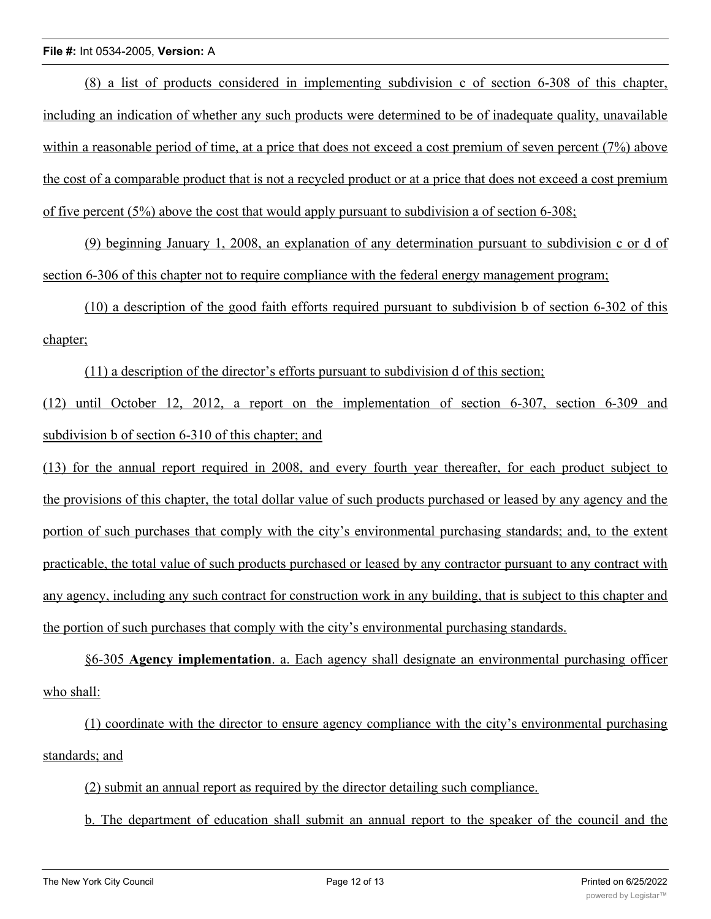(8) a list of products considered in implementing subdivision c of section 6-308 of this chapter, including an indication of whether any such products were determined to be of inadequate quality, unavailable within a reasonable period of time, at a price that does not exceed a cost premium of seven percent (7%) above the cost of a comparable product that is not a recycled product or at a price that does not exceed a cost premium of five percent (5%) above the cost that would apply pursuant to subdivision a of section 6-308;

(9) beginning January 1, 2008, an explanation of any determination pursuant to subdivision c or d of section 6-306 of this chapter not to require compliance with the federal energy management program;

(10) a description of the good faith efforts required pursuant to subdivision b of section 6-302 of this chapter;

(11) a description of the director's efforts pursuant to subdivision d of this section;

(12) until October 12, 2012, a report on the implementation of section 6-307, section 6-309 and subdivision b of section 6-310 of this chapter; and

(13) for the annual report required in 2008, and every fourth year thereafter, for each product subject to the provisions of this chapter, the total dollar value of such products purchased or leased by any agency and the portion of such purchases that comply with the city's environmental purchasing standards; and, to the extent practicable, the total value of such products purchased or leased by any contractor pursuant to any contract with any agency, including any such contract for construction work in any building, that is subject to this chapter and the portion of such purchases that comply with the city's environmental purchasing standards.

§6-305 **Agency implementation**. a. Each agency shall designate an environmental purchasing officer who shall:

(1) coordinate with the director to ensure agency compliance with the city's environmental purchasing standards; and

(2) submit an annual report as required by the director detailing such compliance.

b. The department of education shall submit an annual report to the speaker of the council and the